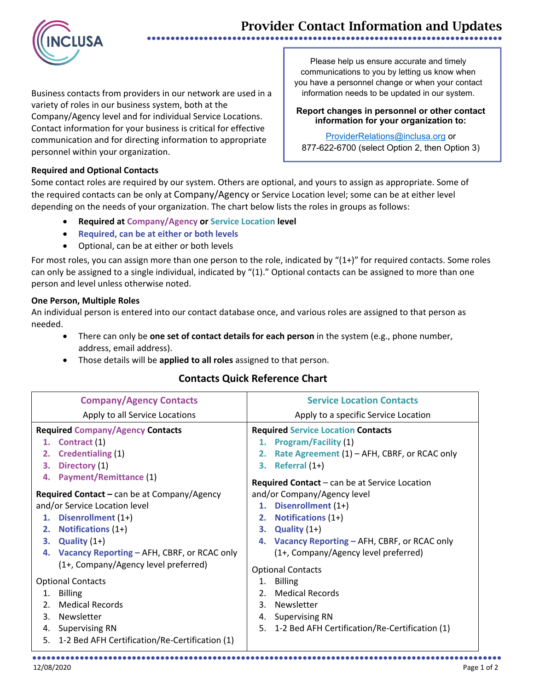## Provider Contact Information and Updates ●●●●●●●●●●●●●●●●●●●●●●●●●●●●●●●●●●●●●●●●●●●●●●●●●●●●●●●●●●●●●●●●●●●●●●●●●●●



Business contacts from providers in our network are used in a variety of roles in our business system, both at the Company/Agency level and for individual Service Locations. Contact information for your business is critical for effective communication and for directing information to appropriate personnel within your organization.

Please help us ensure accurate and timely communications to you by letting us know when you have a personnel change or when your contact information needs to be updated in our system.

#### **Report changes in personnel or other contact information for your organization to:**

[ProviderRelations@inclusa.org](mailto:ProviderRelations@inclusa.org) or 877-622-6700 (select Option 2, then Option 3)

### **Required and Optional Contacts**

Some contact roles are required by our system. Others are optional, and yours to assign as appropriate. Some of the required contacts can be only at Company/Agency or Service Location level; some can be at either level depending on the needs of your organization. The chart below lists the roles in groups as follows:

- **Required at Company/Agency or Service Location level**
- **Required, can be at either or both levels**
- Optional, can be at either or both levels

For most roles, you can assign more than one person to the role, indicated by "(1+)" for required contacts. Some roles can only be assigned to a single individual, indicated by "(1)." Optional contacts can be assigned to more than one person and level unless otherwise noted.

#### **One Person, Multiple Roles**

An individual person is entered into our contact database once, and various roles are assigned to that person as needed.

- There can only be **one set of contact details for each person** in the system (e.g., phone number, address, email address).
- Those details will be **applied to all roles** assigned to that person.

## **Contacts Quick Reference Chart**

| <b>Company/Agency Contacts</b>                       | <b>Service Location Contacts</b>                     |  |  |
|------------------------------------------------------|------------------------------------------------------|--|--|
| Apply to all Service Locations                       | Apply to a specific Service Location                 |  |  |
| <b>Required Company/Agency Contacts</b>              | <b>Required Service Location Contacts</b>            |  |  |
| 1. Contract (1)                                      | 1. Program/Facility (1)                              |  |  |
| <b>Credentialing (1)</b><br>2.                       | Rate Agreement (1) – AFH, CBRF, or RCAC only<br>2.   |  |  |
| Directory (1)<br>З.                                  | Referral $(1+)$<br>3.                                |  |  |
| <b>Payment/Remittance (1)</b><br>4.                  | <b>Required Contact</b> – can be at Service Location |  |  |
| Required Contact - can be at Company/Agency          | and/or Company/Agency level                          |  |  |
| and/or Service Location level                        | 1. Disenrollment (1+)                                |  |  |
| Disenrollment (1+)<br>1.                             | <b>Notifications (1+)</b><br>2.                      |  |  |
| <b>Notifications (1+)</b><br>2.                      | Quality $(1+)$<br>3.                                 |  |  |
| 3. Quality $(1+)$                                    | 4. Vacancy Reporting - AFH, CBRF, or RCAC only       |  |  |
| Vacancy Reporting - AFH, CBRF, or RCAC only<br>4.    | (1+, Company/Agency level preferred)                 |  |  |
| (1+, Company/Agency level preferred)                 | <b>Optional Contacts</b>                             |  |  |
| <b>Optional Contacts</b>                             | <b>Billing</b><br>1.                                 |  |  |
| <b>Billing</b><br>1.                                 | <b>Medical Records</b><br>2 <sub>1</sub>             |  |  |
| <b>Medical Records</b><br>2.                         | Newsletter<br>$3 -$                                  |  |  |
| Newsletter<br>3.                                     | 4. Supervising RN                                    |  |  |
| 4. Supervising RN                                    | 5. 1-2 Bed AFH Certification/Re-Certification (1)    |  |  |
| 1-2 Bed AFH Certification/Re-Certification (1)<br>5. |                                                      |  |  |
|                                                      |                                                      |  |  |